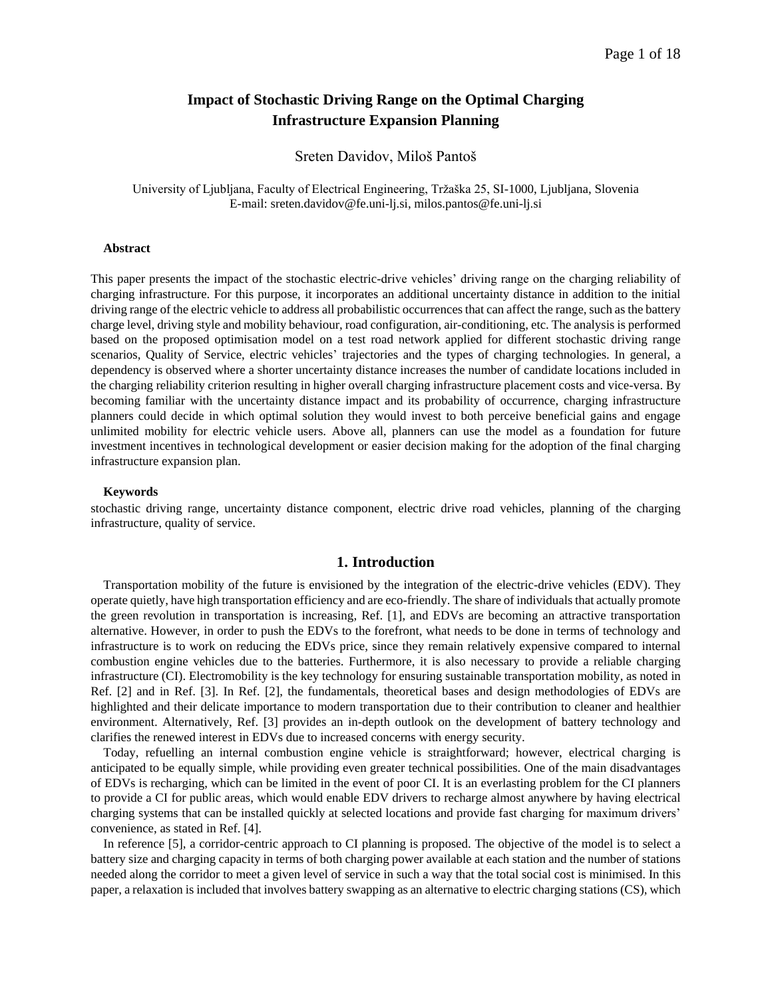# **Impact of Stochastic Driving Range on the Optimal Charging Infrastructure Expansion Planning**

Sreten Davidov, Miloš Pantoš

University of Ljubljana, Faculty of Electrical Engineering, Tržaška 25, SI-1000, Ljubljana, Slovenia E-mail: sreten.davidov@fe.uni-lj.si, milos.pantos@fe.uni-lj.si

#### **Abstract**

This paper presents the impact of the stochastic electric-drive vehicles' driving range on the charging reliability of charging infrastructure. For this purpose, it incorporates an additional uncertainty distance in addition to the initial driving range of the electric vehicle to address all probabilistic occurrences that can affect the range, such as the battery charge level, driving style and mobility behaviour, road configuration, air-conditioning, etc. The analysis is performed based on the proposed optimisation model on a test road network applied for different stochastic driving range scenarios, Quality of Service, electric vehicles' trajectories and the types of charging technologies. In general, a dependency is observed where a shorter uncertainty distance increases the number of candidate locations included in the charging reliability criterion resulting in higher overall charging infrastructure placement costs and vice-versa. By becoming familiar with the uncertainty distance impact and its probability of occurrence, charging infrastructure planners could decide in which optimal solution they would invest to both perceive beneficial gains and engage unlimited mobility for electric vehicle users. Above all, planners can use the model as a foundation for future investment incentives in technological development or easier decision making for the adoption of the final charging infrastructure expansion plan.

#### **Keywords**

stochastic driving range, uncertainty distance component, electric drive road vehicles, planning of the charging infrastructure, quality of service.

### **1. Introduction**

Transportation mobility of the future is envisioned by the integration of the electric-drive vehicles (EDV). They operate quietly, have high transportation efficiency and are eco-friendly. The share of individuals that actually promote the green revolution in transportation is increasing, Ref. [\[1\],](#page-10-0) and EDVs are becoming an attractive transportation alternative. However, in order to push the EDVs to the forefront, what needs to be done in terms of technology and infrastructure is to work on reducing the EDVs price, since they remain relatively expensive compared to internal combustion engine vehicles due to the batteries. Furthermore, it is also necessary to provide a reliable charging infrastructure (CI). Electromobility is the key technology for ensuring sustainable transportation mobility, as noted in Ref. [\[2\]](#page-10-1) and in Ref. [\[3\].](#page-10-2) In Ref. [\[2\],](#page-10-1) the fundamentals, theoretical bases and design methodologies of EDVs are highlighted and their delicate importance to modern transportation due to their contribution to cleaner and healthier environment. Alternatively, Ref. [\[3\]](#page-10-2) provides an in-depth outlook on the development of battery technology and clarifies the renewed interest in EDVs due to increased concerns with energy security.

Today, refuelling an internal combustion engine vehicle is straightforward; however, electrical charging is anticipated to be equally simple, while providing even greater technical possibilities. One of the main disadvantages of EDVs is recharging, which can be limited in the event of poor CI. It is an everlasting problem for the CI planners to provide a CI for public areas, which would enable EDV drivers to recharge almost anywhere by having electrical charging systems that can be installed quickly at selected locations and provide fast charging for maximum drivers' convenience, as stated in Ref. [\[4\].](#page-10-3)

In reference [\[5\],](#page-10-4) a corridor-centric approach to CI planning is proposed. The objective of the model is to select a battery size and charging capacity in terms of both charging power available at each station and the number of stations needed along the corridor to meet a given level of service in such a way that the total social cost is minimised. In this paper, a relaxation is included that involves battery swapping as an alternative to electric charging stations (CS), which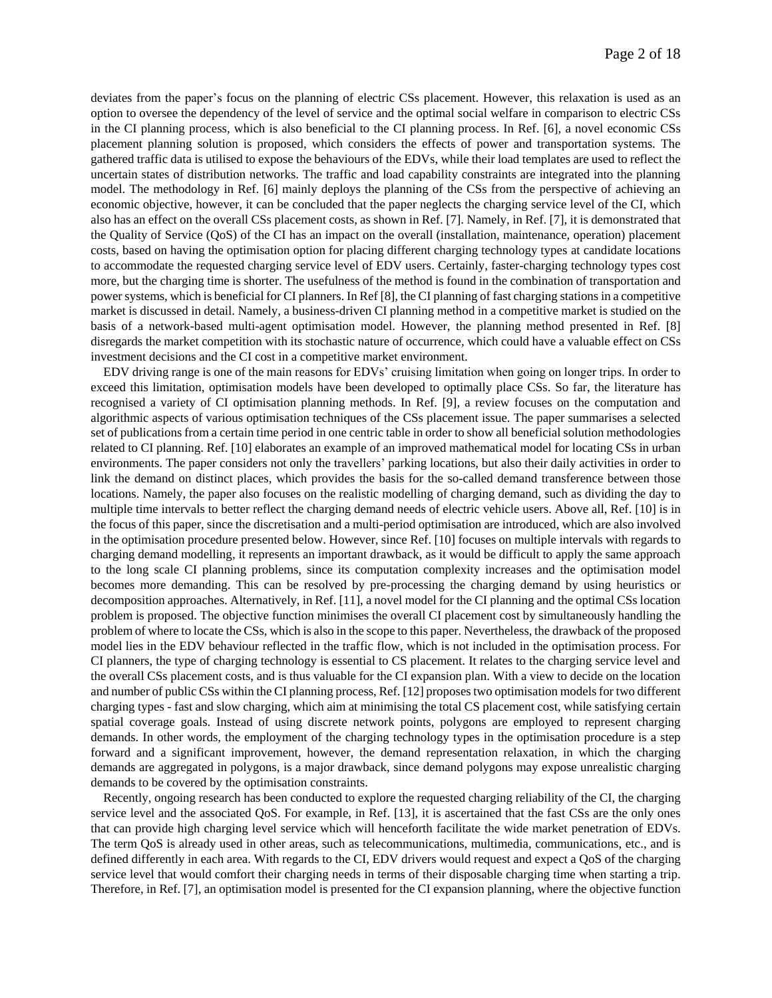deviates from the paper's focus on the planning of electric CSs placement. However, this relaxation is used as an option to oversee the dependency of the level of service and the optimal social welfare in comparison to electric CSs in the CI planning process, which is also beneficial to the CI planning process. In Ref. [\[6\],](#page-10-5) a novel economic CSs placement planning solution is proposed, which considers the effects of power and transportation systems. The gathered traffic data is utilised to expose the behaviours of the EDVs, while their load templates are used to reflect the uncertain states of distribution networks. The traffic and load capability constraints are integrated into the planning model. The methodology in Ref. [\[6\]](#page-10-5) mainly deploys the planning of the CSs from the perspective of achieving an economic objective, however, it can be concluded that the paper neglects the charging service level of the CI, which also has an effect on the overall CSs placement costs, as shown in Ref. [\[7\].](#page-10-6) Namely, in Ref. [\[7\],](#page-10-6) it is demonstrated that the Quality of Service (QoS) of the CI has an impact on the overall (installation, maintenance, operation) placement costs, based on having the optimisation option for placing different charging technology types at candidate locations to accommodate the requested charging service level of EDV users. Certainly, faster-charging technology types cost more, but the charging time is shorter. The usefulness of the method is found in the combination of transportation and power systems, which is beneficial for CI planners. In Ref [\[8\],](#page-10-7) the CI planning of fast charging stations in a competitive market is discussed in detail. Namely, a business-driven CI planning method in a competitive market is studied on the basis of a network-based multi-agent optimisation model. However, the planning method presented in Ref. [\[8\]](#page-10-7) disregards the market competition with its stochastic nature of occurrence, which could have a valuable effect on CSs investment decisions and the CI cost in a competitive market environment.

EDV driving range is one of the main reasons for EDVs' cruising limitation when going on longer trips. In order to exceed this limitation, optimisation models have been developed to optimally place CSs. So far, the literature has recognised a variety of CI optimisation planning methods. In Ref. [\[9\],](#page-10-8) a review focuses on the computation and algorithmic aspects of various optimisation techniques of the CSs placement issue. The paper summarises a selected set of publications from a certain time period in one centric table in order to show all beneficial solution methodologies related to CI planning. Ref. [\[10\]](#page-10-9) elaborates an example of an improved mathematical model for locating CSs in urban environments. The paper considers not only the travellers' parking locations, but also their daily activities in order to link the demand on distinct places, which provides the basis for the so-called demand transference between those locations. Namely, the paper also focuses on the realistic modelling of charging demand, such as dividing the day to multiple time intervals to better reflect the charging demand needs of electric vehicle users. Above all, Ref. [\[10\]](#page-10-9) is in the focus of this paper, since the discretisation and a multi-period optimisation are introduced, which are also involved in the optimisation procedure presented below. However, since Ref[. \[10\]](#page-10-9) focuses on multiple intervals with regards to charging demand modelling, it represents an important drawback, as it would be difficult to apply the same approach to the long scale CI planning problems, since its computation complexity increases and the optimisation model becomes more demanding. This can be resolved by pre-processing the charging demand by using heuristics or decomposition approaches. Alternatively, in Ref. [\[11\],](#page-10-10) a novel model for the CI planning and the optimal CSs location problem is proposed. The objective function minimises the overall CI placement cost by simultaneously handling the problem of where to locate the CSs, which is also in the scope to this paper. Nevertheless, the drawback of the proposed model lies in the EDV behaviour reflected in the traffic flow, which is not included in the optimisation process. For CI planners, the type of charging technology is essential to CS placement. It relates to the charging service level and the overall CSs placement costs, and is thus valuable for the CI expansion plan. With a view to decide on the location and number of public CSs within the CI planning process, Ref. [\[12\]](#page-10-11) proposestwo optimisation models for two different charging types - fast and slow charging, which aim at minimising the total CS placement cost, while satisfying certain spatial coverage goals. Instead of using discrete network points, polygons are employed to represent charging demands. In other words, the employment of the charging technology types in the optimisation procedure is a step forward and a significant improvement, however, the demand representation relaxation, in which the charging demands are aggregated in polygons, is a major drawback, since demand polygons may expose unrealistic charging demands to be covered by the optimisation constraints.

Recently, ongoing research has been conducted to explore the requested charging reliability of the CI, the charging service level and the associated QoS. For example, in Ref. [\[13\],](#page-10-12) it is ascertained that the fast CSs are the only ones that can provide high charging level service which will henceforth facilitate the wide market penetration of EDVs. The term QoS is already used in other areas, such as telecommunications, multimedia, communications, etc., and is defined differently in each area. With regards to the CI, EDV drivers would request and expect a QoS of the charging service level that would comfort their charging needs in terms of their disposable charging time when starting a trip. Therefore, in Ref[. \[7\],](#page-10-6) an optimisation model is presented for the CI expansion planning, where the objective function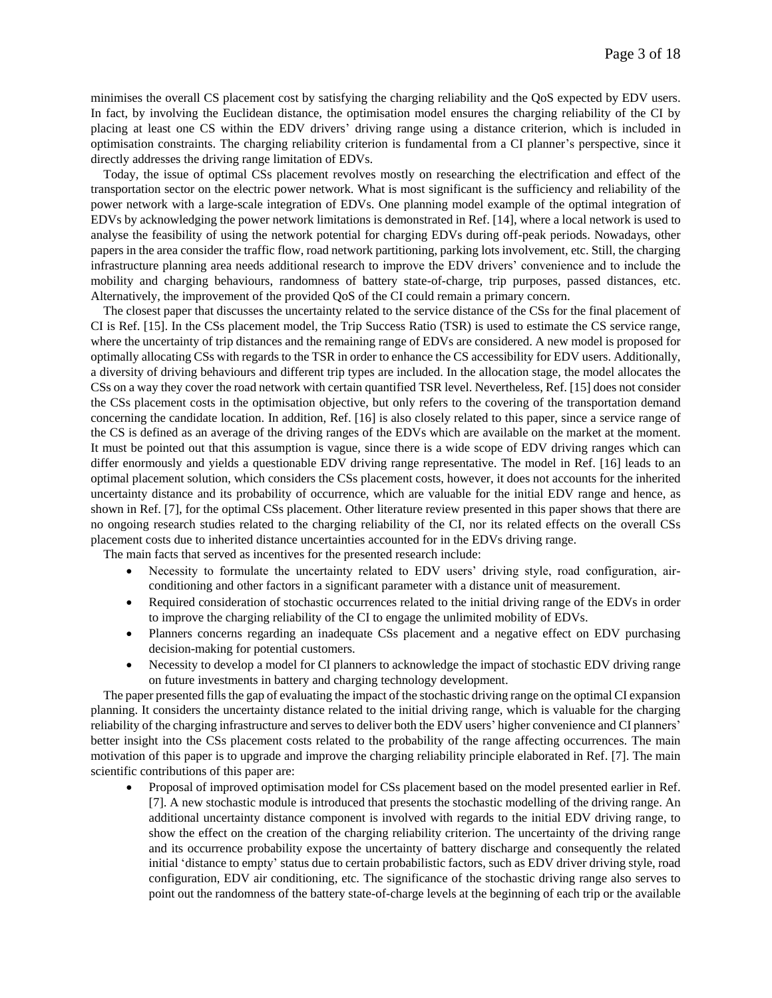minimises the overall CS placement cost by satisfying the charging reliability and the QoS expected by EDV users. In fact, by involving the Euclidean distance, the optimisation model ensures the charging reliability of the CI by placing at least one CS within the EDV drivers' driving range using a distance criterion, which is included in optimisation constraints. The charging reliability criterion is fundamental from a CI planner's perspective, since it directly addresses the driving range limitation of EDVs.

Today, the issue of optimal CSs placement revolves mostly on researching the electrification and effect of the transportation sector on the electric power network. What is most significant is the sufficiency and reliability of the power network with a large-scale integration of EDVs. One planning model example of the optimal integration of EDVs by acknowledging the power network limitations is demonstrated in Ref. [\[14\],](#page-10-13) where a local network is used to analyse the feasibility of using the network potential for charging EDVs during off-peak periods. Nowadays, other papers in the area consider the traffic flow, road network partitioning, parking lots involvement, etc. Still, the charging infrastructure planning area needs additional research to improve the EDV drivers' convenience and to include the mobility and charging behaviours, randomness of battery state-of-charge, trip purposes, passed distances, etc. Alternatively, the improvement of the provided QoS of the CI could remain a primary concern.

The closest paper that discusses the uncertainty related to the service distance of the CSs for the final placement of CI is Ref. [\[15\].](#page-10-14) In the CSs placement model, the Trip Success Ratio (TSR) is used to estimate the CS service range, where the uncertainty of trip distances and the remaining range of EDVs are considered. A new model is proposed for optimally allocating CSs with regards to the TSR in order to enhance the CS accessibility for EDV users. Additionally, a diversity of driving behaviours and different trip types are included. In the allocation stage, the model allocates the CSs on a way they cover the road network with certain quantified TSR level. Nevertheless, Ref. [\[15\]](#page-10-14) does not consider the CSs placement costs in the optimisation objective, but only refers to the covering of the transportation demand concerning the candidate location. In addition, Ref. [\[16\]](#page-10-15) is also closely related to this paper, since a service range of the CS is defined as an average of the driving ranges of the EDVs which are available on the market at the moment. It must be pointed out that this assumption is vague, since there is a wide scope of EDV driving ranges which can differ enormously and yields a questionable EDV driving range representative. The model in Ref. [\[16\]](#page-10-15) leads to an optimal placement solution, which considers the CSs placement costs, however, it does not accounts for the inherited uncertainty distance and its probability of occurrence, which are valuable for the initial EDV range and hence, as shown in Ref. [\[7\],](#page-10-6) for the optimal CSs placement. Other literature review presented in this paper shows that there are no ongoing research studies related to the charging reliability of the CI, nor its related effects on the overall CSs placement costs due to inherited distance uncertainties accounted for in the EDVs driving range.

The main facts that served as incentives for the presented research include:

- Necessity to formulate the uncertainty related to EDV users' driving style, road configuration, airconditioning and other factors in a significant parameter with a distance unit of measurement.
- Required consideration of stochastic occurrences related to the initial driving range of the EDVs in order to improve the charging reliability of the CI to engage the unlimited mobility of EDVs.
- Planners concerns regarding an inadequate CSs placement and a negative effect on EDV purchasing decision-making for potential customers.
- Necessity to develop a model for CI planners to acknowledge the impact of stochastic EDV driving range on future investments in battery and charging technology development.

The paper presented fills the gap of evaluating the impact of the stochastic driving range on the optimal CI expansion planning. It considers the uncertainty distance related to the initial driving range, which is valuable for the charging reliability of the charging infrastructure and serves to deliver both the EDV users' higher convenience and CI planners' better insight into the CSs placement costs related to the probability of the range affecting occurrences. The main motivation of this paper is to upgrade and improve the charging reliability principle elaborated in Ref. [\[7\].](#page-10-6) The main scientific contributions of this paper are:

 Proposal of improved optimisation model for CSs placement based on the model presented earlier in Ref. [\[7\].](#page-10-6) A new stochastic module is introduced that presents the stochastic modelling of the driving range. An additional uncertainty distance component is involved with regards to the initial EDV driving range, to show the effect on the creation of the charging reliability criterion. The uncertainty of the driving range and its occurrence probability expose the uncertainty of battery discharge and consequently the related initial 'distance to empty' status due to certain probabilistic factors, such as EDV driver driving style, road configuration, EDV air conditioning, etc. The significance of the stochastic driving range also serves to point out the randomness of the battery state-of-charge levels at the beginning of each trip or the available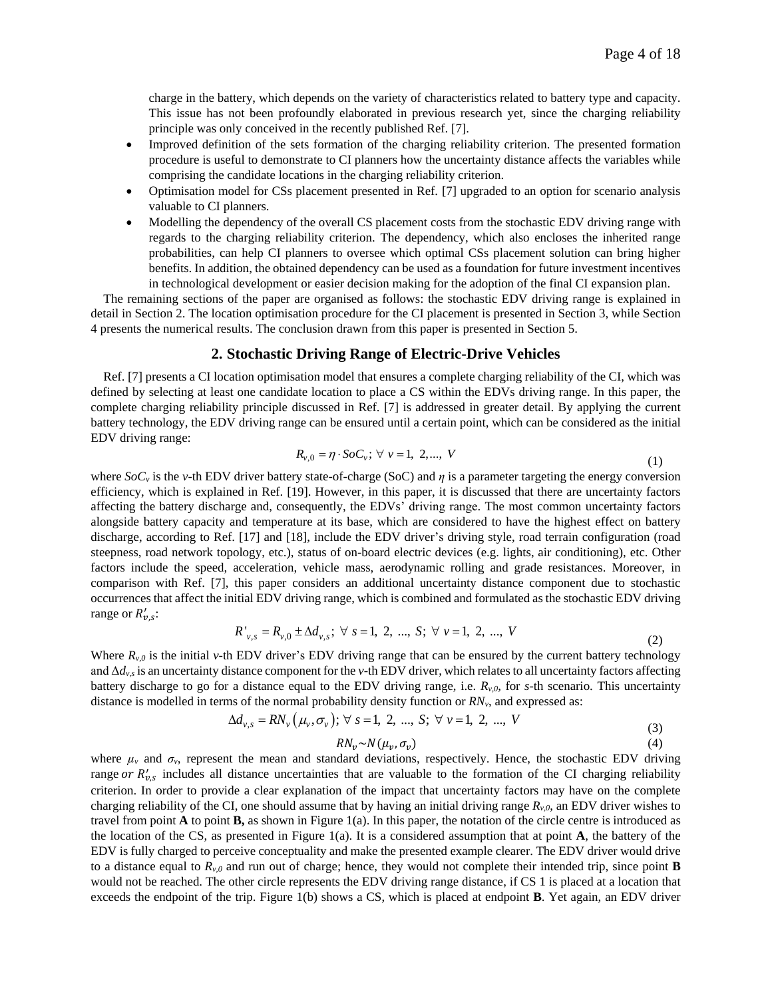charge in the battery, which depends on the variety of characteristics related to battery type and capacity. This issue has not been profoundly elaborated in previous research yet, since the charging reliability principle was only conceived in the recently published Ref. [\[7\].](#page-10-6)

- Improved definition of the sets formation of the charging reliability criterion. The presented formation procedure is useful to demonstrate to CI planners how the uncertainty distance affects the variables while comprising the candidate locations in the charging reliability criterion.
- Optimisation model for CSs placement presented in Ref. [\[7\]](#page-10-6) upgraded to an option for scenario analysis valuable to CI planners.
- Modelling the dependency of the overall CS placement costs from the stochastic EDV driving range with regards to the charging reliability criterion. The dependency, which also encloses the inherited range probabilities, can help CI planners to oversee which optimal CSs placement solution can bring higher benefits. In addition, the obtained dependency can be used as a foundation for future investment incentives in technological development or easier decision making for the adoption of the final CI expansion plan.

The remaining sections of the paper are organised as follows: the stochastic EDV driving range is explained in detail in Sectio[n 2.](#page-3-0) The location optimisation procedure for the CI placement is presented in Section [3,](#page-4-0) while Section [4](#page-7-0) presents the numerical results. The conclusion drawn from this paper is presented in Section [5.](#page-8-0)

### **2. Stochastic Driving Range of Electric-Drive Vehicles**

<span id="page-3-0"></span>Ref. [\[7\]](#page-10-6) presents a CI location optimisation model that ensures a complete charging reliability of the CI, which was defined by selecting at least one candidate location to place a CS within the EDVs driving range. In this paper, the complete charging reliability principle discussed in Ref. [\[7\]](#page-10-6) is addressed in greater detail. By applying the current battery technology, the EDV driving range can be ensured until a certain point, which can be considered as the initial EDV driving range:

$$
R_{\nu,0} = \eta \cdot SoC_{\nu}; \ \forall \ \nu = 1, \ 2, ..., \ V
$$
 (1)

where *SoC<sup>v</sup>* is the *v*-th EDV driver battery state-of-charge (SoC) and *η* is a parameter targeting the energy conversion efficiency, which is explained in Ref. [\[19\].](#page-10-16) However, in this paper, it is discussed that there are uncertainty factors affecting the battery discharge and, consequently, the EDVs' driving range. The most common uncertainty factors alongside battery capacity and temperature at its base, which are considered to have the highest effect on battery discharge, according to Ref. [\[17\]](#page-10-17) and [\[18\],](#page-10-18) include the EDV driver's driving style, road terrain configuration (road steepness, road network topology, etc.), status of on-board electric devices (e.g. lights, air conditioning), etc. Other factors include the speed, acceleration, vehicle mass, aerodynamic rolling and grade resistances. Moreover, in comparison with Ref. [\[7\],](#page-10-6) this paper considers an additional uncertainty distance component due to stochastic occurrences that affect the initial EDV driving range, which is combined and formulated as the stochastic EDV driving range or  $R'_{v,s}$ :

$$
R^{\prime}_{\nu,s} = R_{\nu,0} \pm \Delta d_{\nu,s}; \ \forall \ s = 1, 2, ..., S; \ \forall \ \nu = 1, 2, ..., V
$$
 (2)

Where  $R_{v,0}$  is the initial *v*-th EDV driver's EDV driving range that can be ensured by the current battery technology and Δ*dv,s* is an uncertainty distance component for the *v*-th EDV driver, which relates to all uncertainty factors affecting battery discharge to go for a distance equal to the EDV driving range, i.e. *Rv,0*, for *s*-th scenario. This uncertainty distance is modelled in terms of the normal probability density function or  $RN_v$ , and expressed as:<br> $\Delta d_{v,s} = RN_v(\mu_v, \sigma_v); \forall s = 1, 2, ..., S; \forall v = 1, 2, ..., V$ 

$$
\Delta d_{\nu,s} = RN_{\nu}(\mu_{\nu}, \sigma_{\nu}); \forall s = 1, 2, ..., S; \forall \nu = 1, 2, ..., V
$$
  
\n
$$
RN_{\nu} \sim N(\mu_{\nu}, \sigma_{\nu})
$$
\n(3)

where  $\mu_\nu$  and  $\sigma_\nu$ , represent the mean and standard deviations, respectively. Hence, the stochastic EDV driving range or  $R'_{v,s}$  includes all distance uncertainties that are valuable to the formation of the CI charging reliability criterion. In order to provide a clear explanation of the impact that uncertainty factors may have on the complete charging reliability of the CI, one should assume that by having an initial driving range *Rv,0*, an EDV driver wishes to travel from point **A** to point **B,** as shown in [Figure 1\(](#page-14-0)a). In this paper, the notation of the circle centre is introduced as the location of the CS, as presented in [Figure 1\(](#page-14-0)a). It is a considered assumption that at point **A**, the battery of the EDV is fully charged to perceive conceptuality and make the presented example clearer. The EDV driver would drive to a distance equal to *Rv,0* and run out of charge; hence, they would not complete their intended trip, since point **B** would not be reached. The other circle represents the EDV driving range distance, if CS 1 is placed at a location that exceeds the endpoint of the trip. [Figure 1\(](#page-14-0)b) shows a CS, which is placed at endpoint **B**. Yet again, an EDV driver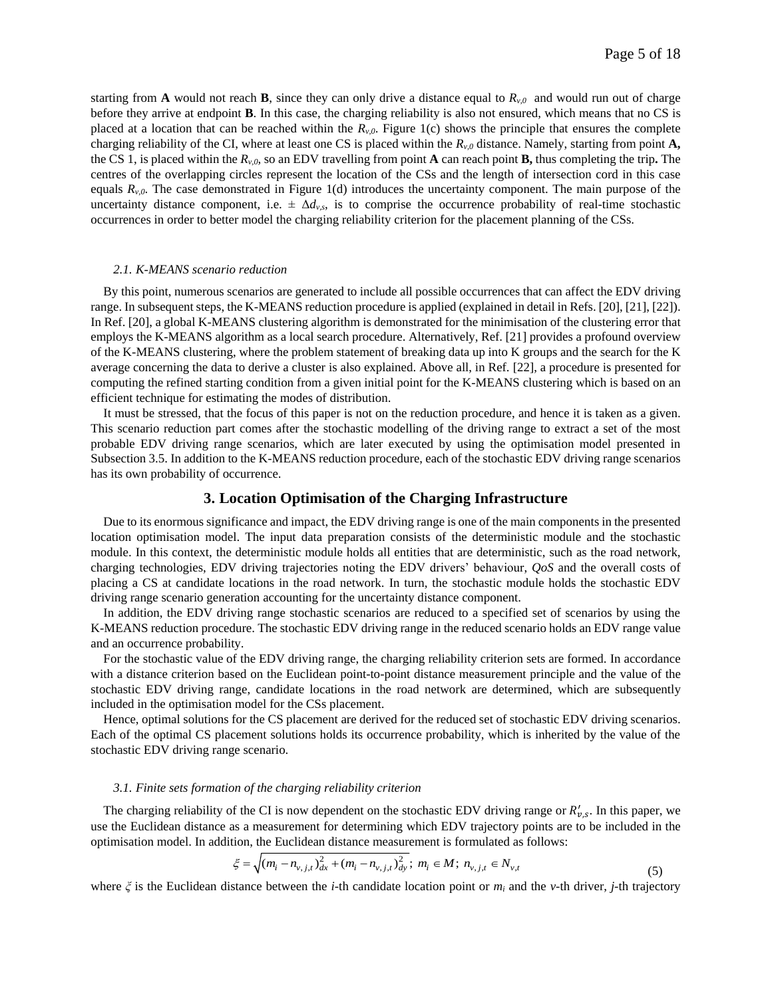starting from **A** would not reach **B**, since they can only drive a distance equal to  $R_{\nu,0}$  and would run out of charge before they arrive at endpoint **B**. In this case, the charging reliability is also not ensured, which means that no CS is placed at a location that can be reached within the  $R_{\nu,0}$ . [Figure 1\(](#page-14-0)c) shows the principle that ensures the complete charging reliability of the CI, where at least one CS is placed within the *Rv,0* distance. Namely, starting from point **A,**  the CS 1, is placed within the *Rv,0*, so an EDV travelling from point **A** can reach point **B,** thus completing the trip**.** The centres of the overlapping circles represent the location of the CSs and the length of intersection cord in this case equals  $R_{\nu,0}$ . The case demonstrated in [Figure 1\(](#page-14-0)d) introduces the uncertainty component. The main purpose of the uncertainty distance component, i.e.  $\pm \Delta d_{v,s}$ , is to comprise the occurrence probability of real-time stochastic occurrences in order to better model the charging reliability criterion for the placement planning of the CSs.

#### <span id="page-4-2"></span>*2.1. K-MEANS scenario reduction*

By this point, numerous scenarios are generated to include all possible occurrences that can affect the EDV driving range. In subsequent steps, the K-MEANS reduction procedure is applied (explained in detail in Refs. [\[20\],](#page-10-19) [\[21\],](#page-10-20) [\[22\]\)](#page-11-0). In Ref. [\[20\],](#page-10-19) a global K-MEANS clustering algorithm is demonstrated for the minimisation of the clustering error that employs the K-MEANS algorithm as a local search procedure. Alternatively, Ref. [\[21\]](#page-10-20) provides a profound overview of the K-MEANS clustering, where the problem statement of breaking data up into K groups and the search for the K average concerning the data to derive a cluster is also explained. Above all, in Ref. [\[22\],](#page-11-0) a procedure is presented for computing the refined starting condition from a given initial point for the K-MEANS clustering which is based on an efficient technique for estimating the modes of distribution.

It must be stressed, that the focus of this paper is not on the reduction procedure, and hence it is taken as a given. This scenario reduction part comes after the stochastic modelling of the driving range to extract a set of the most probable EDV driving range scenarios, which are later executed by using the optimisation model presented in Subsection [3.5.](#page-6-0) In addition to the K-MEANS reduction procedure, each of the stochastic EDV driving range scenarios has its own probability of occurrence.

### **3. Location Optimisation of the Charging Infrastructure**

<span id="page-4-0"></span>Due to its enormous significance and impact, the EDV driving range is one of the main components in the presented location optimisation model. The input data preparation consists of the deterministic module and the stochastic module. In this context, the deterministic module holds all entities that are deterministic, such as the road network, charging technologies, EDV driving trajectories noting the EDV drivers' behaviour, *QoS* and the overall costs of placing a CS at candidate locations in the road network. In turn, the stochastic module holds the stochastic EDV driving range scenario generation accounting for the uncertainty distance component.

In addition, the EDV driving range stochastic scenarios are reduced to a specified set of scenarios by using the K-MEANS reduction procedure. The stochastic EDV driving range in the reduced scenario holds an EDV range value and an occurrence probability.

For the stochastic value of the EDV driving range, the charging reliability criterion sets are formed. In accordance with a distance criterion based on the Euclidean point-to-point distance measurement principle and the value of the stochastic EDV driving range, candidate locations in the road network are determined, which are subsequently included in the optimisation model for the CSs placement.

Hence, optimal solutions for the CS placement are derived for the reduced set of stochastic EDV driving scenarios. Each of the optimal CS placement solutions holds its occurrence probability, which is inherited by the value of the stochastic EDV driving range scenario.

#### <span id="page-4-1"></span>*3.1. Finite sets formation of the charging reliability criterion*

The charging reliability of the CI is now dependent on the stochastic EDV driving range or  $R'_{v,s}$ . In this paper, we use the Euclidean distance as a measurement for determining which EDV trajectory points are to be included in the optimisation model. In addition, the Euclidean distance measurement is formulated as follows:

$$
\xi = \sqrt{(m_i - n_{\nu, j, t})_{dx}^2 + (m_i - n_{\nu, j, t})_{dy}^2}; \ m_i \in M; \ n_{\nu, j, t} \in N_{\nu, t}
$$
\n(5)

where *ξ* is the Euclidean distance between the *i*-th candidate location point or *m<sup>i</sup>* and the *v*-th driver, *j*-th trajectory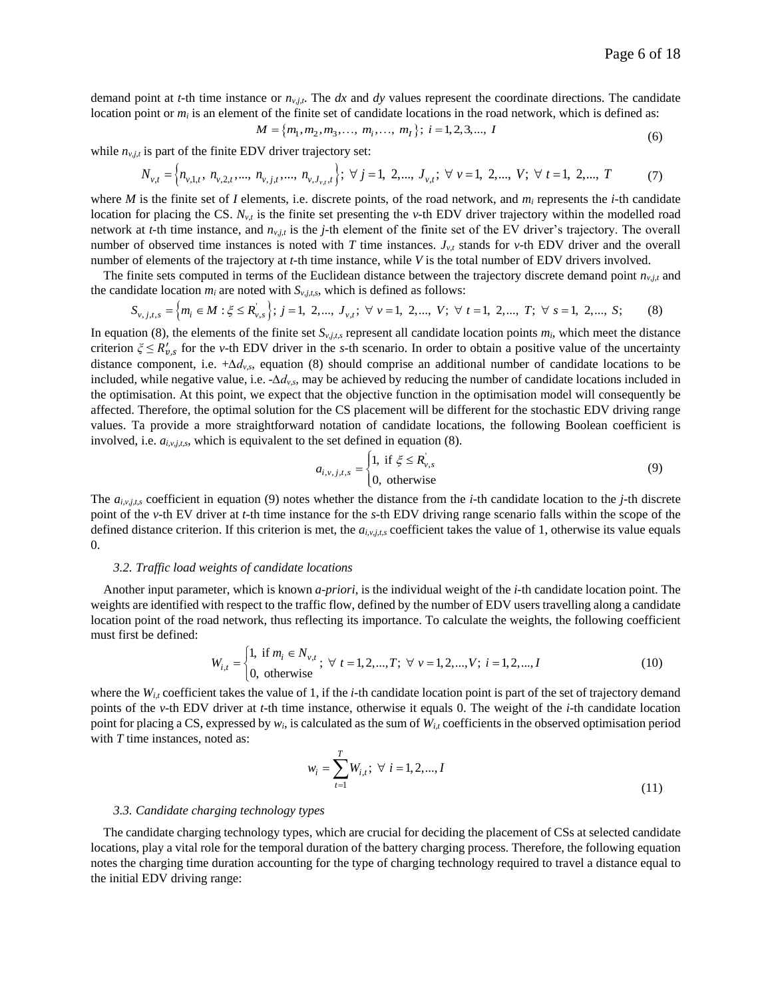demand point at *t*-th time instance or  $n_{v,i}$ . The *dx* and *dy* values represent the coordinate directions. The candidate location point or  $m_i$  is an element of the finite set of candidate locations in the road network, which is defined as:

$$
M = \{m_1, m_2, m_3, \dots, m_i, \dots, m_I\}; i = 1, 2, 3, \dots, I
$$
\n(6)

while  $n_{v,j,t}$  is part of the finite EDV driver trajectory set:

$$
N_{v,t} = \left\{ n_{v,1,t}, n_{v,2,t}, \dots, n_{v,j,t}, \dots, n_{v,J_{v,t},t} \right\}; \ \forall \ j = 1, 2, \dots, J_{v,t}; \ \forall \ v = 1, 2, \dots, V; \ \forall \ t = 1, 2, \dots, T
$$
 (7)

where *M* is the finite set of *I* elements, i.e. discrete points, of the road network, and  $m_i$  represents the *i*-th candidate location for placing the CS.  $N_{v,t}$  is the finite set presenting the *v*-th EDV driver trajectory within the modelled road network at *t*-th time instance, and *nv,j,t* is the *j*-th element of the finite set of the EV driver's trajectory. The overall number of observed time instances is noted with *T* time instances.  $J_{v,t}$  stands for *v*-th EDV driver and the overall number of elements of the trajectory at *t*-th time instance, while *V* is the total number of EDV drivers involved.

The finite sets computed in terms of the Euclidean distance between the trajectory discrete demand point *nv,j,t* and the candidate location  $m_i$  are noted with  $S_{v,j,t,s}$ , which is defined as follows:

$$
S_{v,j,t,s} = \left\{ m_i \in M : \xi \le R_{v,s} \right\}; j = 1, 2, ..., J_{v,t}; \forall v = 1, 2, ..., V; \forall t = 1, 2, ..., T; \forall s = 1, 2, ..., S; (8)
$$

In equation (8), the elements of the finite set *Sv,j,t,s* represent all candidate location points *mi*, which meet the distance criterion  $\zeta \le R'_{\nu,s}$  for the *v*-th EDV driver in the *s*-th scenario. In order to obtain a positive value of the uncertainty distance component, i.e. +*∆dv,s*, equation (8) should comprise an additional number of candidate locations to be included, while negative value, i.e. -*∆dv,s*, may be achieved by reducing the number of candidate locations included in the optimisation. At this point, we expect that the objective function in the optimisation model will consequently be affected. Therefore, the optimal solution for the CS placement will be different for the stochastic EDV driving range values. Ta provide a more straightforward notation of candidate locations, the following Boolean coefficient is involved, i.e. *ai,v,j,t,s*, which is equivalent to the set defined in equation (8).

$$
a_{i,v,j,t,s} = \begin{cases} 1, & \text{if } \xi \le R_{v,s} \\ 0, & \text{otherwise} \end{cases}
$$
 (9)

The *ai,v,j,t,s* coefficient in equation (9) notes whether the distance from the *i*-th candidate location to the *j*-th discrete point of the *v*-th EV driver at *t*-th time instance for the *s*-th EDV driving range scenario falls within the scope of the defined distance criterion. If this criterion is met, the *ai,v,j,t,s* coefficient takes the value of 1, otherwise its value equals 0.

#### *3.2. Traffic load weights of candidate locations*

Another input parameter, which is known *a-priori*, is the individual weight of the *i*-th candidate location point. The weights are identified with respect to the traffic flow, defined by the number of EDV users travelling along a candidate location point of the road network, thus reflecting its importance. To calculate the weights, the following coefficient must first be defined:

$$
W_{i,t} = \begin{cases} 1, & \text{if } m_i \in N_{\nu,t} \\ 0, & \text{otherwise} \end{cases}; \ \forall \ t = 1, 2, ..., T; \ \forall \ \nu = 1, 2, ..., V; \ i = 1, 2, ..., I \tag{10}
$$

where the *W<sub>i,t</sub>* coefficient takes the value of 1, if the *i*-th candidate location point is part of the set of trajectory demand points of the *v*-th EDV driver at *t*-th time instance, otherwise it equals 0. The weight of the *i*-th candidate location point for placing a CS, expressed by *wi*, is calculated as the sum of *Wi,t* coefficients in the observed optimisation period with *T* time instances, noted as:

$$
w_i = \sum_{t=1}^{T} W_{i,t}; \ \forall \ i = 1, 2, ..., I
$$
\n(11)

#### *3.3. Candidate charging technology types*

The candidate charging technology types, which are crucial for deciding the placement of CSs at selected candidate locations, play a vital role for the temporal duration of the battery charging process. Therefore, the following equation notes the charging time duration accounting for the type of charging technology required to travel a distance equal to the initial EDV driving range: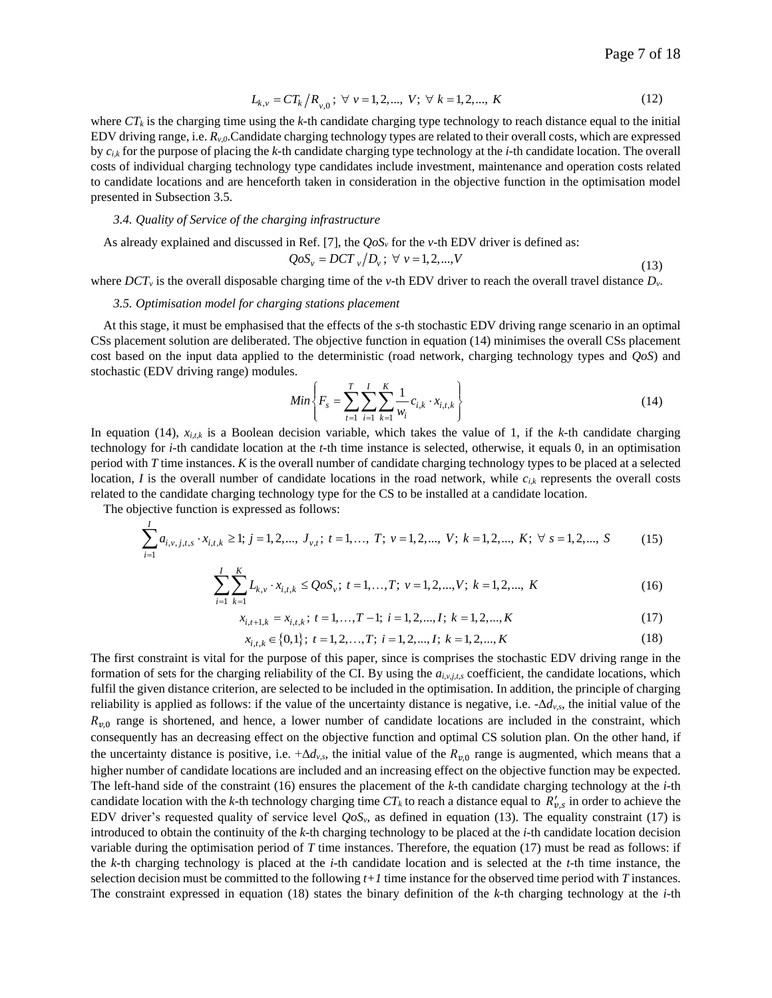$$
L_{k,v} = CT_k / R_{v,0}; \ \forall \ v = 1, 2, ..., \ V; \ \forall \ k = 1, 2, ..., \ K
$$
 (12)

where  $CT_k$  is the charging time using the *k*-th candidate charging type technology to reach distance equal to the initial EDV driving range, i.e. *Rv,0*.Candidate charging technology types are related to their overall costs, which are expressed by *ci,k* for the purpose of placing the *k*-th candidate charging type technology at the *i*-th candidate location. The overall costs of individual charging technology type candidates include investment, maintenance and operation costs related to candidate locations and are henceforth taken in consideration in the objective function in the optimisation model presented in Subsection [3.5.](#page-6-0)

### *3.4. Quality of Service of the charging infrastructure*

As already explained and discussed in Ref. [\[7\],](#page-10-6) the *QoS<sup>v</sup>* for the *v*-th EDV driver is defined as:

$$
QoS_v = DCT_v/D_v; \ \forall \ v = 1, 2, ..., V
$$
\n(13)

<span id="page-6-0"></span>where  $DCT_v$  is the overall disposable charging time of the *v*-th EDV driver to reach the overall travel distance  $D_v$ .

### *3.5. Optimisation model for charging stations placement*

At this stage, it must be emphasised that the effects of the *s*-th stochastic EDV driving range scenario in an optimal CSs placement solution are deliberated. The objective function in equation (14) minimises the overall CSs placement cost based on the input data applied to the deterministic (road network, charging technology types and *QoS*) and stochastic (EDV driving range) modules.

$$
Min\left\{F_s = \sum_{t=1}^{T} \sum_{i=1}^{I} \sum_{k=1}^{K} \frac{1}{w_i} c_{i,k} \cdot x_{i,t,k}\right\}
$$
(14)

In equation (14),  $x_{i,t,k}$  is a Boolean decision variable, which takes the value of 1, if the  $k$ -th candidate charging technology for *i*-th candidate location at the *t*-th time instance is selected, otherwise, it equals 0, in an optimisation period with *T* time instances. *K* is the overall number of candidate charging technology types to be placed at a selected location, *I* is the overall number of candidate locations in the road network, while  $c_{i,k}$  represents the overall costs related to the candidate charging technology type for the CS to be installed at a candidate location.

The objective function is expressed as follows:

*I K*

*I*

$$
\sum_{i=1}^{n} a_{i,v,j,t,s} \cdot x_{i,t,k} \ge 1; \ j = 1, 2, \dots, J_{v,t}; \ t = 1, \dots, T; \ v = 1, 2, \dots, V; \ k = 1, 2, \dots, K; \ \forall \ s = 1, 2, \dots, S \tag{15}
$$

$$
\sum_{i=1}^{N} \sum_{k=1}^{N} L_{k,v} \cdot x_{i,t,k} \le QoS_v; \ t = 1, ..., T; \ v = 1, 2, ..., V; \ k = 1, 2, ..., K
$$
 (16)

$$
x_{i,t+1,k} = x_{i,t,k}; \ t = 1,...,T-1; \ i = 1,2,...,I; \ k = 1,2,...,K
$$
 (17)

$$
x_{i,t,k} \in \{0,1\}; \ t = 1,2,...,T; \ i = 1,2,...,I; \ k = 1,2,...,K
$$
 (18)

The first constraint is vital for the purpose of this paper, since is comprises the stochastic EDV driving range in the formation of sets for the charging reliability of the CI. By using the *ai,v,j,t,s* coefficient, the candidate locations, which fulfil the given distance criterion, are selected to be included in the optimisation. In addition, the principle of charging reliability is applied as follows: if the value of the uncertainty distance is negative, i.e. -Δ*dv,s*, the initial value of the  $R_{v,0}$  range is shortened, and hence, a lower number of candidate locations are included in the constraint, which consequently has an decreasing effect on the objective function and optimal CS solution plan. On the other hand, if the uncertainty distance is positive, i.e.  $+\Delta d_{v,s}$ , the initial value of the  $R_{v,0}$  range is augmented, which means that a higher number of candidate locations are included and an increasing effect on the objective function may be expected. The left-hand side of the constraint (16) ensures the placement of the *k*-th candidate charging technology at the *i*-th candidate location with the *k*-th technology charging time  $CT_k$  to reach a distance equal to  $R'_{v,s}$  in order to achieve the EDV driver's requested quality of service level *QoSv*, as defined in equation (13). The equality constraint (17) is introduced to obtain the continuity of the *k*-th charging technology to be placed at the *i*-th candidate location decision variable during the optimisation period of *T* time instances. Therefore, the equation (17) must be read as follows: if the *k*-th charging technology is placed at the *i*-th candidate location and is selected at the *t*-th time instance, the selection decision must be committed to the following *t+1* time instance for the observed time period with *T* instances. The constraint expressed in equation (18) states the binary definition of the *k*-th charging technology at the *i*-th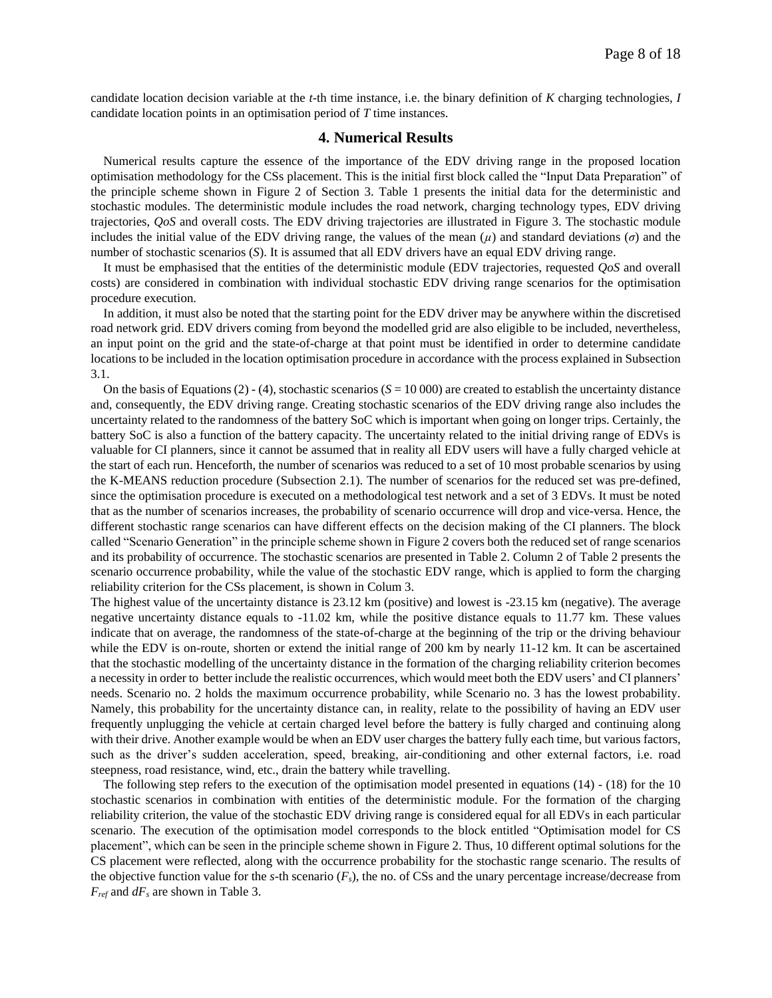<span id="page-7-0"></span>candidate location decision variable at the *t*-th time instance, i.e. the binary definition of *K* charging technologies, *I* candidate location points in an optimisation period of *T* time instances.

### **4. Numerical Results**

Numerical results capture the essence of the importance of the EDV driving range in the proposed location optimisation methodology for the CSs placement. This is the initial first block called the "Input Data Preparation" of the principle scheme shown in [Figure 2](#page-14-1) of Section [3.](#page-4-0) [Table 1](#page-16-0) presents the initial data for the deterministic and stochastic modules. The deterministic module includes the road network, charging technology types, EDV driving trajectories, *QoS* and overall costs. The EDV driving trajectories are illustrated in [Figure 3.](#page-15-0) The stochastic module includes the initial value of the EDV driving range, the values of the mean  $(\mu)$  and standard deviations  $(\sigma)$  and the number of stochastic scenarios (*S*). It is assumed that all EDV drivers have an equal EDV driving range.

It must be emphasised that the entities of the deterministic module (EDV trajectories, requested *QoS* and overall costs) are considered in combination with individual stochastic EDV driving range scenarios for the optimisation procedure execution.

In addition, it must also be noted that the starting point for the EDV driver may be anywhere within the discretised road network grid. EDV drivers coming from beyond the modelled grid are also eligible to be included, nevertheless, an input point on the grid and the state-of-charge at that point must be identified in order to determine candidate locations to be included in the location optimisation procedure in accordance with the process explained in Subsection [3.1.](#page-4-1)

On the basis of Equations (2) - (4), stochastic scenarios ( $S = 10000$ ) are created to establish the uncertainty distance and, consequently, the EDV driving range. Creating stochastic scenarios of the EDV driving range also includes the uncertainty related to the randomness of the battery SoC which is important when going on longer trips. Certainly, the battery SoC is also a function of the battery capacity. The uncertainty related to the initial driving range of EDVs is valuable for CI planners, since it cannot be assumed that in reality all EDV users will have a fully charged vehicle at the start of each run. Henceforth, the number of scenarios was reduced to a set of 10 most probable scenarios by using the K-MEANS reduction procedure (Subsection [2.1\)](#page-4-2). The number of scenarios for the reduced set was pre-defined, since the optimisation procedure is executed on a methodological test network and a set of 3 EDVs. It must be noted that as the number of scenarios increases, the probability of scenario occurrence will drop and vice-versa. Hence, the different stochastic range scenarios can have different effects on the decision making of the CI planners. The block called "Scenario Generation" in the principle scheme shown in [Figure 2](#page-14-1) covers both the reduced set of range scenarios and its probability of occurrence. The stochastic scenarios are presented in [Table 2.](#page-16-1) Column 2 of [Table 2](#page-16-1) presents the scenario occurrence probability, while the value of the stochastic EDV range, which is applied to form the charging reliability criterion for the CSs placement, is shown in Colum 3.

The highest value of the uncertainty distance is 23.12 km (positive) and lowest is -23.15 km (negative). The average negative uncertainty distance equals to -11.02 km, while the positive distance equals to 11.77 km. These values indicate that on average, the randomness of the state-of-charge at the beginning of the trip or the driving behaviour while the EDV is on-route, shorten or extend the initial range of 200 km by nearly 11-12 km. It can be ascertained that the stochastic modelling of the uncertainty distance in the formation of the charging reliability criterion becomes a necessity in order to better include the realistic occurrences, which would meet both the EDV users' and CI planners' needs. Scenario no. 2 holds the maximum occurrence probability, while Scenario no. 3 has the lowest probability. Namely, this probability for the uncertainty distance can, in reality, relate to the possibility of having an EDV user frequently unplugging the vehicle at certain charged level before the battery is fully charged and continuing along with their drive. Another example would be when an EDV user charges the battery fully each time, but various factors, such as the driver's sudden acceleration, speed, breaking, air-conditioning and other external factors, i.e. road steepness, road resistance, wind, etc., drain the battery while travelling.

The following step refers to the execution of the optimisation model presented in equations (14) - (18) for the 10 stochastic scenarios in combination with entities of the deterministic module. For the formation of the charging reliability criterion, the value of the stochastic EDV driving range is considered equal for all EDVs in each particular scenario. The execution of the optimisation model corresponds to the block entitled "Optimisation model for CS placement", which can be seen in the principle scheme shown in [Figure 2.](#page-14-1) Thus, 10 different optimal solutions for the CS placement were reflected, along with the occurrence probability for the stochastic range scenario. The results of the objective function value for the *s*-th scenario  $(F_s)$ , the no. of CSs and the unary percentage increase/decrease from *Fref* and *dF<sup>s</sup>* are shown in [Table 3.](#page-17-0)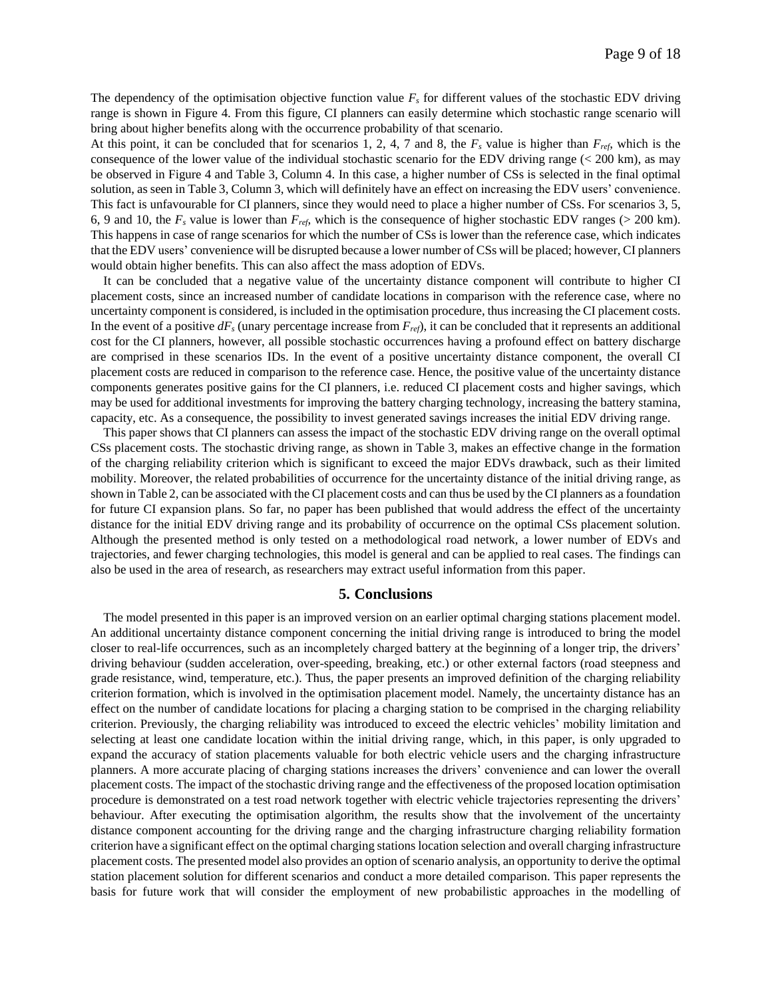The dependency of the optimisation objective function value  $F<sub>s</sub>$  for different values of the stochastic EDV driving range is shown in [Figure 4.](#page-15-1) From this figure, CI planners can easily determine which stochastic range scenario will bring about higher benefits along with the occurrence probability of that scenario.

At this point, it can be concluded that for scenarios 1, 2, 4, 7 and 8, the *F<sup>s</sup>* value is higher than *Fref*, which is the consequence of the lower value of the individual stochastic scenario for the EDV driving range ( $<$  200 km), as may be observed in [Figure 4](#page-15-1) and [Table 3,](#page-17-0) Column 4. In this case, a higher number of CSs is selected in the final optimal solution, as seen in [Table 3,](#page-17-0) Column 3, which will definitely have an effect on increasing the EDV users' convenience. This fact is unfavourable for CI planners, since they would need to place a higher number of CSs. For scenarios 3, 5, 6, 9 and 10, the  $F_s$  value is lower than  $F_{ref}$ , which is the consequence of higher stochastic EDV ranges ( $> 200$  km). This happens in case of range scenarios for which the number of CSs is lower than the reference case, which indicates that the EDV users' convenience will be disrupted because a lower number of CSs will be placed; however, CI planners would obtain higher benefits. This can also affect the mass adoption of EDVs.

It can be concluded that a negative value of the uncertainty distance component will contribute to higher CI placement costs, since an increased number of candidate locations in comparison with the reference case, where no uncertainty component is considered, is included in the optimisation procedure, thus increasing the CI placement costs. In the event of a positive  $dF_s$  (unary percentage increase from  $F_{ref}$ ), it can be concluded that it represents an additional cost for the CI planners, however, all possible stochastic occurrences having a profound effect on battery discharge are comprised in these scenarios IDs. In the event of a positive uncertainty distance component, the overall CI placement costs are reduced in comparison to the reference case. Hence, the positive value of the uncertainty distance components generates positive gains for the CI planners, i.e. reduced CI placement costs and higher savings, which may be used for additional investments for improving the battery charging technology, increasing the battery stamina, capacity, etc. As a consequence, the possibility to invest generated savings increases the initial EDV driving range.

This paper shows that CI planners can assess the impact of the stochastic EDV driving range on the overall optimal CSs placement costs. The stochastic driving range, as shown in [Table 3,](#page-17-0) makes an effective change in the formation of the charging reliability criterion which is significant to exceed the major EDVs drawback, such as their limited mobility. Moreover, the related probabilities of occurrence for the uncertainty distance of the initial driving range, as shown i[n Table 2,](#page-16-1) can be associated with the CI placement costs and can thus be used by the CI planners as a foundation for future CI expansion plans. So far, no paper has been published that would address the effect of the uncertainty distance for the initial EDV driving range and its probability of occurrence on the optimal CSs placement solution. Although the presented method is only tested on a methodological road network, a lower number of EDVs and trajectories, and fewer charging technologies, this model is general and can be applied to real cases. The findings can also be used in the area of research, as researchers may extract useful information from this paper.

### **5. Conclusions**

<span id="page-8-0"></span>The model presented in this paper is an improved version on an earlier optimal charging stations placement model. An additional uncertainty distance component concerning the initial driving range is introduced to bring the model closer to real-life occurrences, such as an incompletely charged battery at the beginning of a longer trip, the drivers' driving behaviour (sudden acceleration, over-speeding, breaking, etc.) or other external factors (road steepness and grade resistance, wind, temperature, etc.). Thus, the paper presents an improved definition of the charging reliability criterion formation, which is involved in the optimisation placement model. Namely, the uncertainty distance has an effect on the number of candidate locations for placing a charging station to be comprised in the charging reliability criterion. Previously, the charging reliability was introduced to exceed the electric vehicles' mobility limitation and selecting at least one candidate location within the initial driving range, which, in this paper, is only upgraded to expand the accuracy of station placements valuable for both electric vehicle users and the charging infrastructure planners. A more accurate placing of charging stations increases the drivers' convenience and can lower the overall placement costs. The impact of the stochastic driving range and the effectiveness of the proposed location optimisation procedure is demonstrated on a test road network together with electric vehicle trajectories representing the drivers' behaviour. After executing the optimisation algorithm, the results show that the involvement of the uncertainty distance component accounting for the driving range and the charging infrastructure charging reliability formation criterion have a significant effect on the optimal charging stations location selection and overall charging infrastructure placement costs. The presented model also provides an option of scenario analysis, an opportunity to derive the optimal station placement solution for different scenarios and conduct a more detailed comparison. This paper represents the basis for future work that will consider the employment of new probabilistic approaches in the modelling of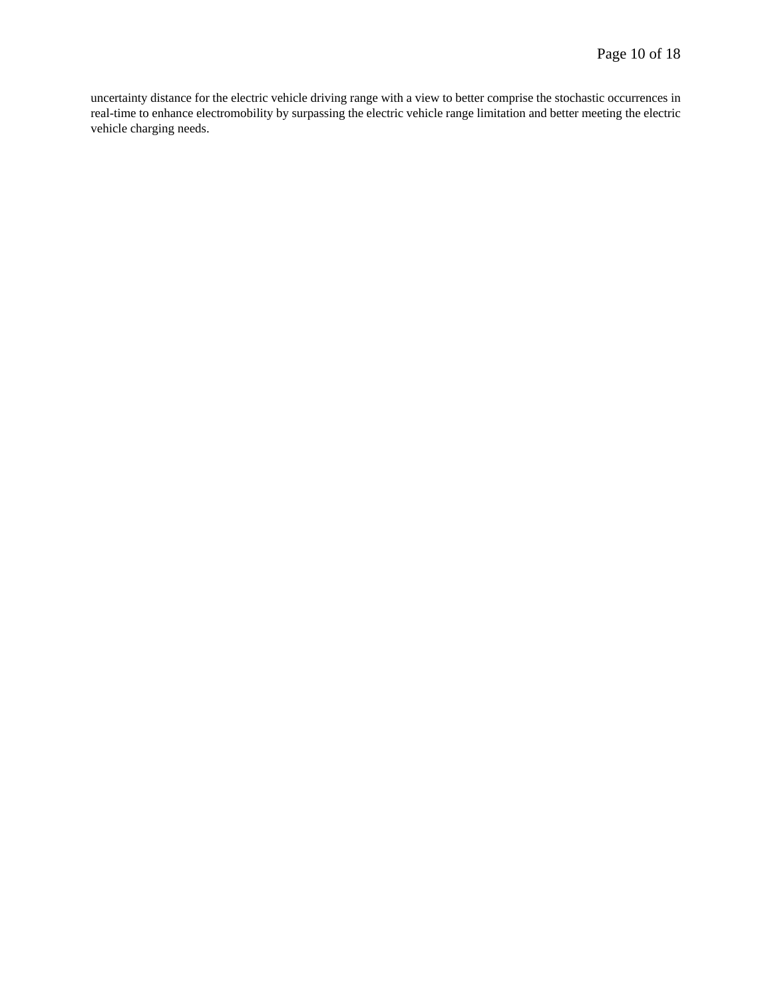uncertainty distance for the electric vehicle driving range with a view to better comprise the stochastic occurrences in real-time to enhance electromobility by surpassing the electric vehicle range limitation and better meeting the electric vehicle charging needs.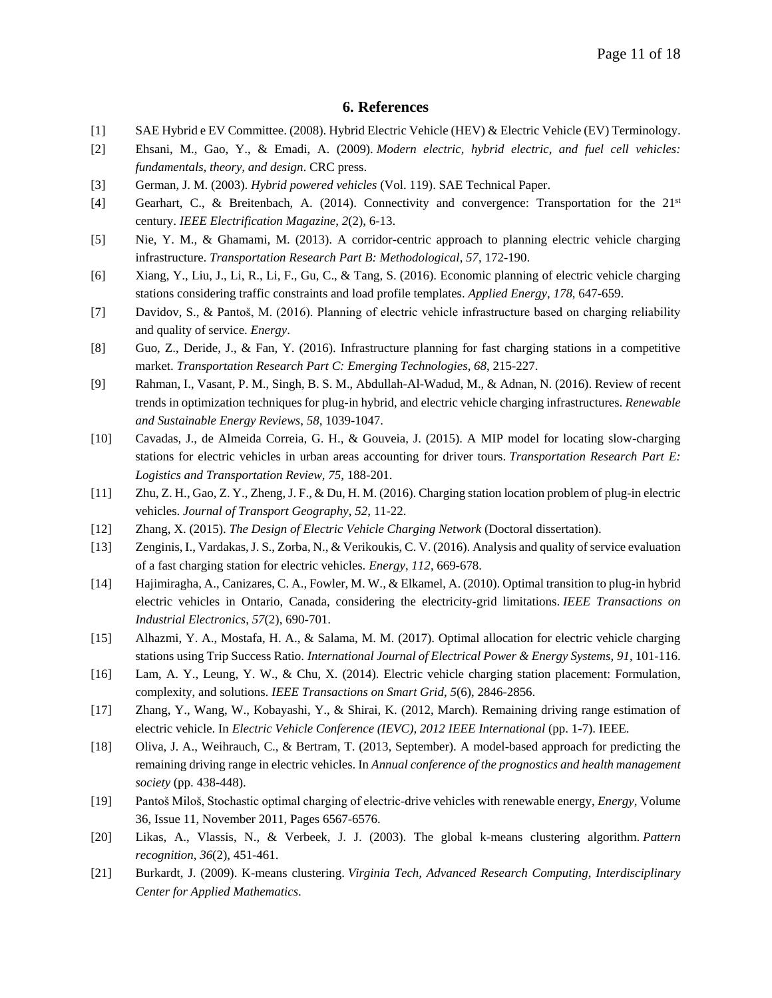### **6. References**

- <span id="page-10-0"></span>[1] SAE Hybrid e EV Committee. (2008). Hybrid Electric Vehicle (HEV) & Electric Vehicle (EV) Terminology.
- <span id="page-10-1"></span>[2] Ehsani, M., Gao, Y., & Emadi, A. (2009). *Modern electric, hybrid electric, and fuel cell vehicles: fundamentals, theory, and design*. CRC press.
- <span id="page-10-2"></span>[3] German, J. M. (2003). *Hybrid powered vehicles* (Vol. 119). SAE Technical Paper.
- <span id="page-10-3"></span>[4] Gearhart, C., & Breitenbach, A. (2014). Connectivity and convergence: Transportation for the 21st century. *IEEE Electrification Magazine*, *2*(2), 6-13.
- <span id="page-10-4"></span>[5] Nie, Y. M., & Ghamami, M. (2013). A corridor-centric approach to planning electric vehicle charging infrastructure. *Transportation Research Part B: Methodological*, *57*, 172-190.
- <span id="page-10-5"></span>[6] Xiang, Y., Liu, J., Li, R., Li, F., Gu, C., & Tang, S. (2016). Economic planning of electric vehicle charging stations considering traffic constraints and load profile templates. *Applied Energy*, *178*, 647-659.
- <span id="page-10-6"></span>[7] Davidov, S., & Pantoš, M. (2016). Planning of electric vehicle infrastructure based on charging reliability and quality of service. *Energy*.
- <span id="page-10-7"></span>[8] Guo, Z., Deride, J., & Fan, Y. (2016). Infrastructure planning for fast charging stations in a competitive market. *Transportation Research Part C: Emerging Technologies*, *68*, 215-227.
- <span id="page-10-8"></span>[9] Rahman, I., Vasant, P. M., Singh, B. S. M., Abdullah-Al-Wadud, M., & Adnan, N. (2016). Review of recent trends in optimization techniques for plug-in hybrid, and electric vehicle charging infrastructures. *Renewable and Sustainable Energy Reviews*, *58*, 1039-1047.
- <span id="page-10-9"></span>[10] Cavadas, J., de Almeida Correia, G. H., & Gouveia, J. (2015). A MIP model for locating slow-charging stations for electric vehicles in urban areas accounting for driver tours. *Transportation Research Part E: Logistics and Transportation Review*, *75*, 188-201.
- <span id="page-10-10"></span>[11] Zhu, Z. H., Gao, Z. Y., Zheng, J. F., & Du, H. M. (2016). Charging station location problem of plug-in electric vehicles. *Journal of Transport Geography*, *52*, 11-22.
- <span id="page-10-11"></span>[12] Zhang, X. (2015). *The Design of Electric Vehicle Charging Network* (Doctoral dissertation).
- <span id="page-10-12"></span>[13] Zenginis, I., Vardakas, J. S., Zorba, N., & Verikoukis, C. V. (2016). Analysis and quality of service evaluation of a fast charging station for electric vehicles. *Energy*, *112*, 669-678.
- <span id="page-10-13"></span>[14] Hajimiragha, A., Canizares, C. A., Fowler, M. W., & Elkamel, A. (2010). Optimal transition to plug-in hybrid electric vehicles in Ontario, Canada, considering the electricity-grid limitations. *IEEE Transactions on Industrial Electronics*, *57*(2), 690-701.
- <span id="page-10-14"></span>[15] Alhazmi, Y. A., Mostafa, H. A., & Salama, M. M. (2017). Optimal allocation for electric vehicle charging stations using Trip Success Ratio. *International Journal of Electrical Power & Energy Systems*, *91*, 101-116.
- <span id="page-10-15"></span>[16] Lam, A. Y., Leung, Y. W., & Chu, X. (2014). Electric vehicle charging station placement: Formulation, complexity, and solutions. *IEEE Transactions on Smart Grid*, *5*(6), 2846-2856.
- <span id="page-10-17"></span>[17] Zhang, Y., Wang, W., Kobayashi, Y., & Shirai, K. (2012, March). Remaining driving range estimation of electric vehicle. In *Electric Vehicle Conference (IEVC), 2012 IEEE International* (pp. 1-7). IEEE.
- <span id="page-10-18"></span>[18] Oliva, J. A., Weihrauch, C., & Bertram, T. (2013, September). A model-based approach for predicting the remaining driving range in electric vehicles. In *Annual conference of the prognostics and health management society* (pp. 438-448).
- <span id="page-10-16"></span>[19] Pantoš Miloš, Stochastic optimal charging of electric-drive vehicles with renewable energy, *Energy*, Volume 36, Issue 11, November 2011, Pages 6567-6576.
- <span id="page-10-19"></span>[20] Likas, A., Vlassis, N., & Verbeek, J. J. (2003). The global k-means clustering algorithm. *Pattern recognition*, *36*(2), 451-461.
- <span id="page-10-20"></span>[21] Burkardt, J. (2009). K-means clustering. *Virginia Tech, Advanced Research Computing, Interdisciplinary Center for Applied Mathematics*.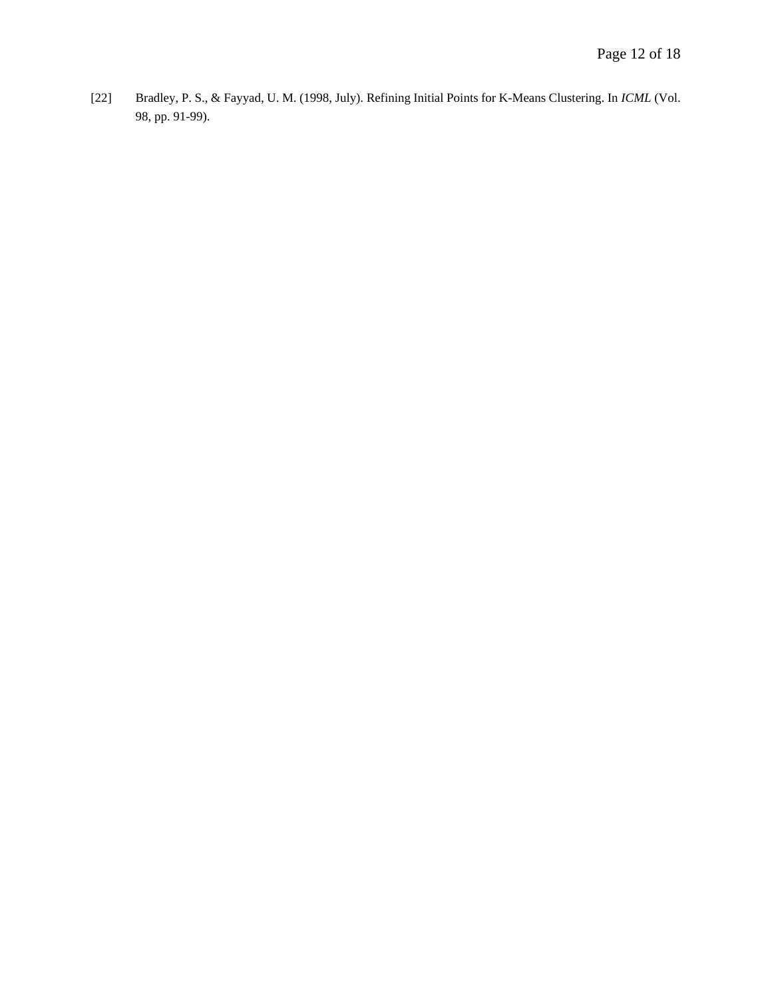<span id="page-11-0"></span>[22] Bradley, P. S., & Fayyad, U. M. (1998, July). Refining Initial Points for K-Means Clustering. In *ICML* (Vol. 98, pp. 91-99).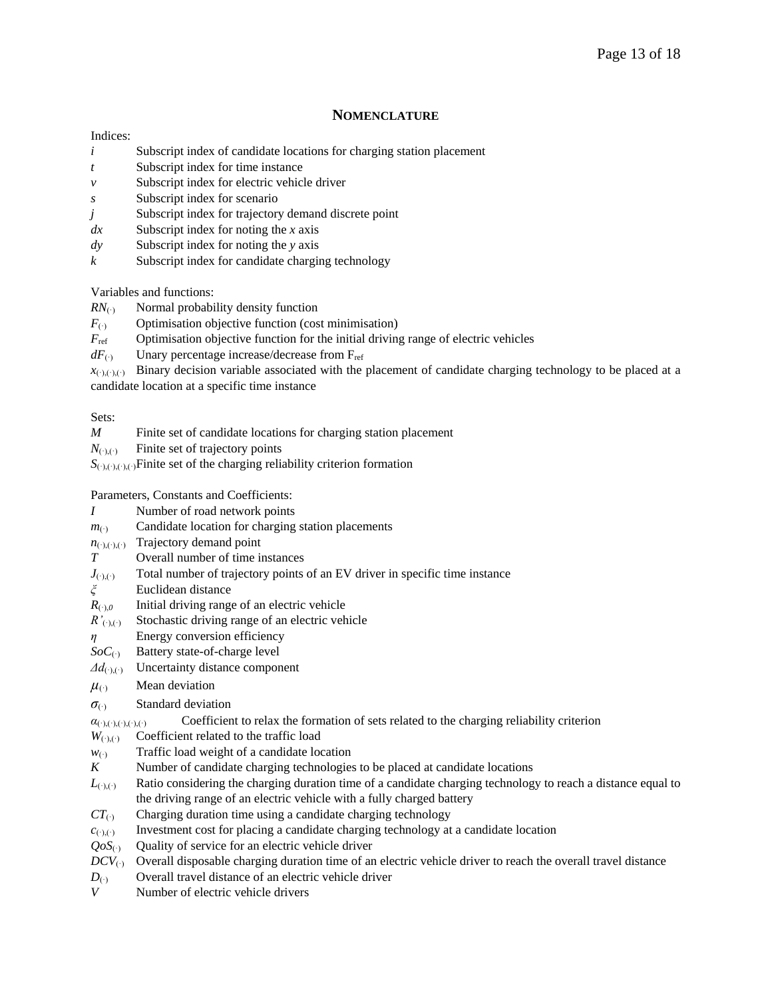# **NOMENCLATURE**

## Indices:

- *i* Subscript index of candidate locations for charging station placement
- *t* Subscript index for time instance
- *v* Subscript index for electric vehicle driver
- *s* Subscript index for scenario
- *j* Subscript index for trajectory demand discrete point
- *dx* Subscript index for noting the *x* axis
- *dy* Subscript index for noting the *y* axis
- *k* Subscript index for candidate charging technology

Variables and functions:

*RN*(·) Normal probability density function

*F*<sub>(·)</sub> Optimisation objective function (cost minimisation)

*F*<sub>ref</sub> Optimisation objective function for the initial driving range of electric vehicles

 $dF_{\text{C}}$  Unary percentage increase/decrease from  $F_{\text{ref}}$ 

 $x_{(\cdot),(\cdot),(\cdot)}$  Binary decision variable associated with the placement of candidate charging technology to be placed at a candidate location at a specific time instance

# Sets:

*M* Finite set of candidate locations for charging station placement

 $N_{(.)}(.)$  Finite set of trajectory points

 $S_{(\cdot),(\cdot),(\cdot),(\cdot)}$ Finite set of the charging reliability criterion formation

Parameters, Constants and Coefficients:

- *I* Number of road network points
- $m<sub>(.)</sub>$  Candidate location for charging station placements
- $n_{(\cdot),(\cdot),(\cdot)}$  Trajectory demand point
- *T* Overall number of time instances
- $J_{(\cdot),(\cdot)}$  Total number of trajectory points of an EV driver in specific time instance
- *ξ* Euclidean distance
- $R_{(.),0}$  Initial driving range of an electric vehicle
- *R'*(·),(·) Stochastic driving range of an electric vehicle
- *η* Energy conversion efficiency
- *SoC*(·) Battery state-of-charge level
- *Δd*(·),(·) Uncertainty distance component
- $\mu_{\odot}$  Mean deviation

*σ*(·) Standard deviation

 $a_{(\cdot),(\cdot),(\cdot),(\cdot)}$  Coefficient to relax the formation of sets related to the charging reliability criterion

 $W_{(\cdot),(\cdot)}$  Coefficient related to the traffic load

- $w_{(.)}$  Traffic load weight of a candidate location
- *K* Number of candidate charging technologies to be placed at candidate locations
- $L_{(\cdot),(\cdot)}$  Ratio considering the charging duration time of a candidate charging technology to reach a distance equal to the driving range of an electric vehicle with a fully charged battery
- *CT*(·) Charging duration time using a candidate charging technology
- $c<sub>(·),(·)</sub>$  Investment cost for placing a candidate charging technology at a candidate location
- *QoS*(·) Quality of service for an electric vehicle driver
- *DCV*(·) Overall disposable charging duration time of an electric vehicle driver to reach the overall travel distance
- $D_{(.)}$  Overall travel distance of an electric vehicle driver
- *V* Number of electric vehicle drivers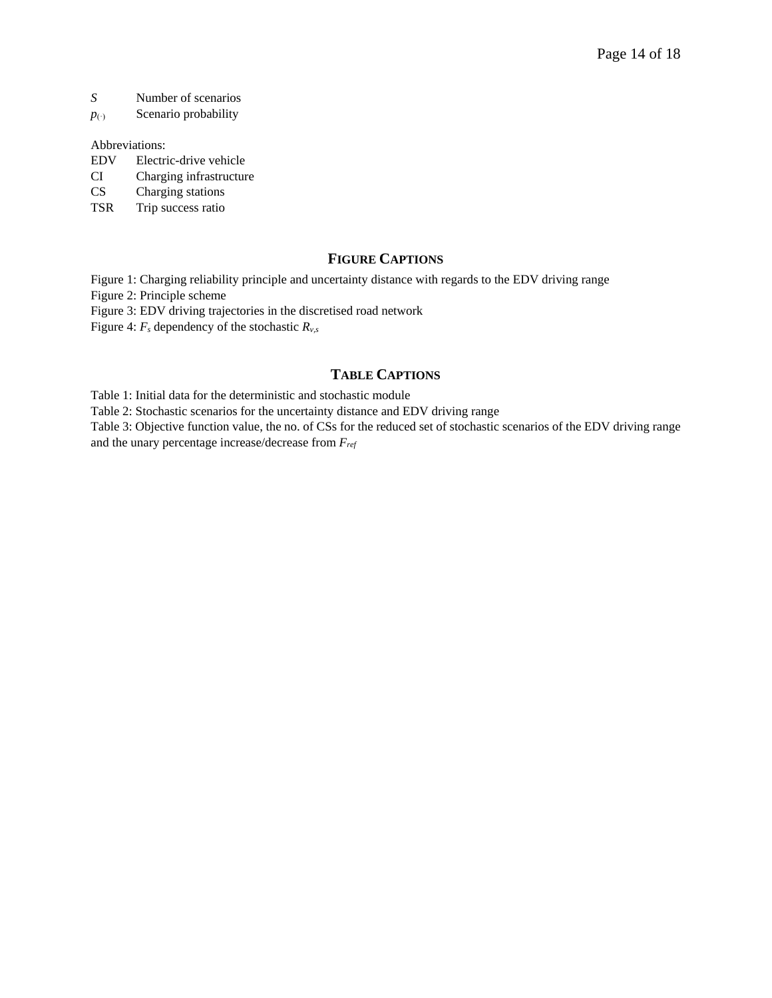- *S* Number of scenarios
- *p*<sub>(·)</sub> Scenario probability

## Abbreviations:

- EDV Electric-drive vehicle
- CI Charging infrastructure
- CS Charging stations
- TSR Trip success ratio

# **FIGURE CAPTIONS**

- [Figure 1: Charging reliability principle and uncertainty distance with regards to the EDV driving range](#page-14-0)
- [Figure 2: Principle scheme](#page-14-1)
- [Figure 3: EDV driving trajectories in the discretised road network](#page-15-0)
- Figure 4:  $F_s$  [dependency of the stochastic](#page-15-1)  $R_{v,s}$

## **TABLE CAPTIONS**

[Table 1: Initial data for the deterministic and stochastic module](#page-16-0)

[Table 2: Stochastic scenarios for the uncertainty distance and EDV driving range](#page-16-1)

[Table 3: Objective function value, the no. of CSs for the reduced set of stochastic scenarios of the EDV driving range](#page-17-0)  [and the unary percentage increase/decrease from](#page-17-0) *Fref*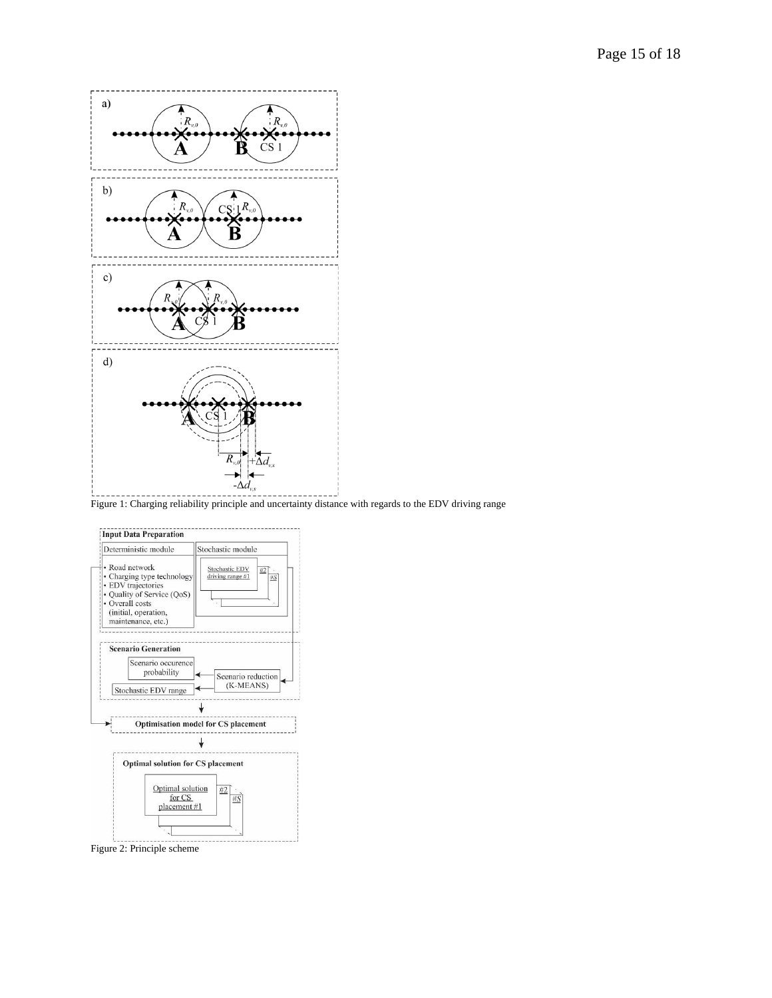

<span id="page-14-0"></span>Figure 1: Charging reliability principle and uncertainty distance with regards to the EDV driving range



<span id="page-14-1"></span>Figure 2: Principle scheme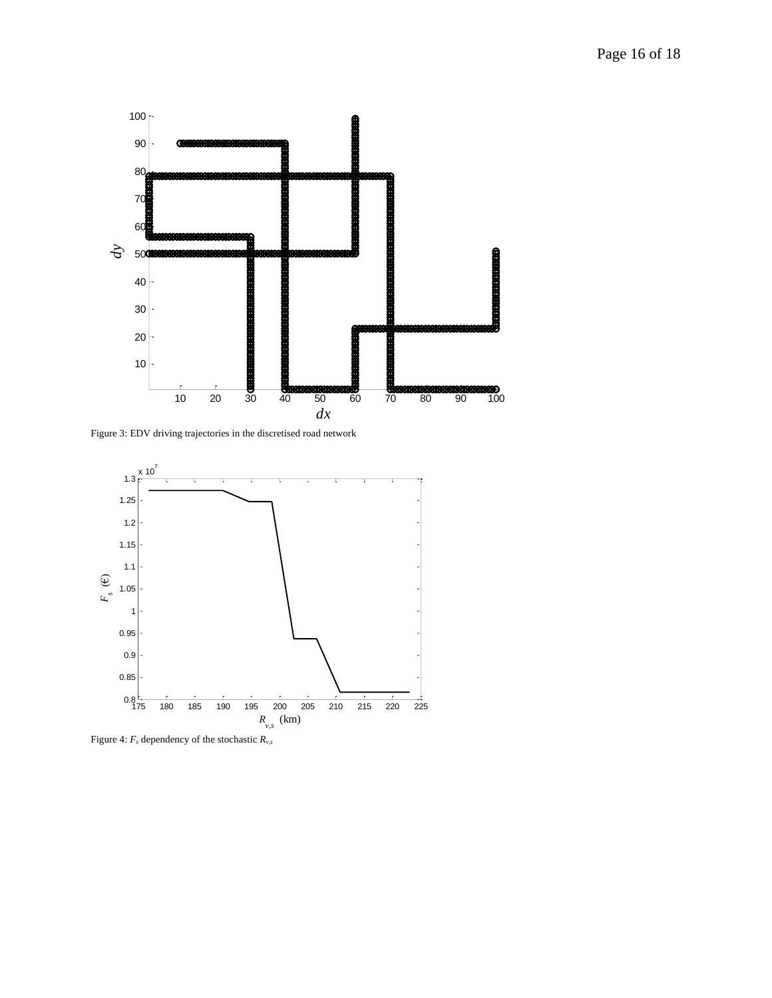

<span id="page-15-0"></span>Figure 3: EDV driving trajectories in the discretised road network



<span id="page-15-1"></span>Figure 4: *F<sup>s</sup>* dependency of the stochastic *Rv,s*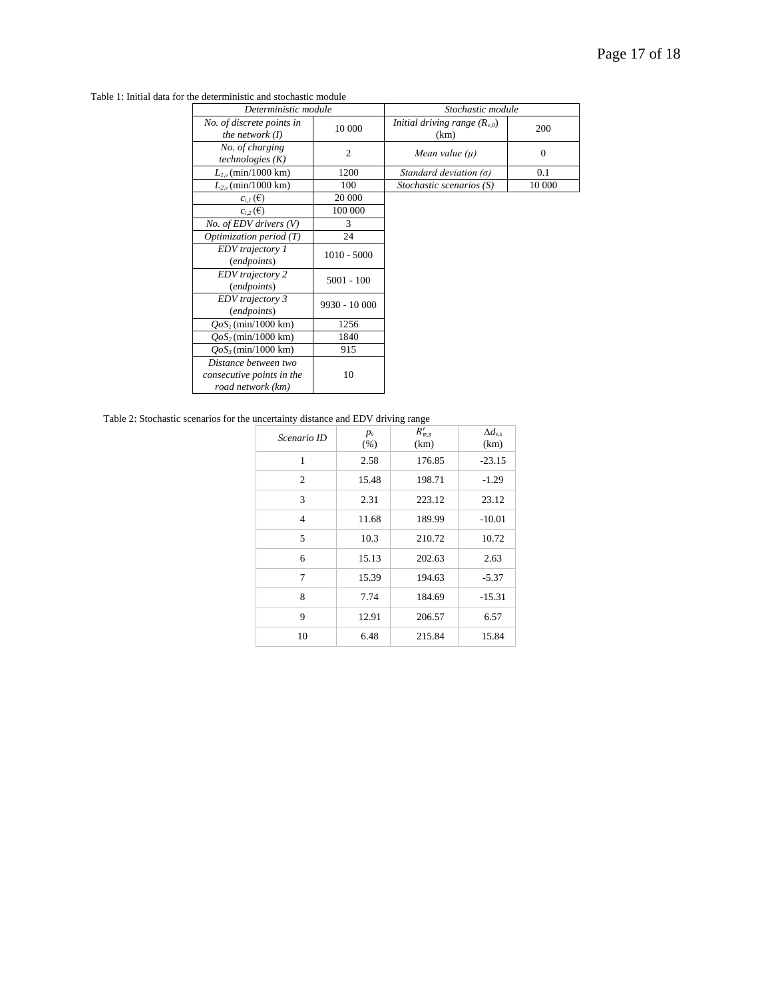<span id="page-16-0"></span>Table 1: Initial data for the deterministic and stochastic module

| le deterministic and stochastic module                                 |                |                                           |                |
|------------------------------------------------------------------------|----------------|-------------------------------------------|----------------|
| Deterministic module                                                   |                | Stochastic module                         |                |
| No. of discrete points in<br>the network $(I)$                         | 10 000         | Initial driving range $(R_{v,0})$<br>(km) | 200            |
| No. of charging<br>technologies(K)                                     | $\overline{c}$ | Mean value $(\mu)$                        | $\overline{0}$ |
| $L_{l,v}$ (min/1000 km)                                                | 1200           | Standard deviation $(\sigma)$             | 0.1            |
| $L_{2v}$ (min/1000 km)                                                 | 100            | Stochastic scenarios (S)                  | 10 000         |
| $c_{i,I}(\epsilon)$                                                    | 20 000         |                                           |                |
| $c_{i,2}(\epsilon)$                                                    | 100 000        |                                           |                |
| No. of EDV drivers (V)                                                 | $\mathcal{R}$  |                                           |                |
| Optimization period $(T)$                                              | 24             |                                           |                |
| EDV trajectory 1<br>(endpoints)                                        | $1010 - 5000$  |                                           |                |
| EDV trajectory 2<br>(endpoints)                                        | $5001 - 100$   |                                           |                |
| EDV trajectory 3<br><i>(endpoints)</i>                                 | 9930 - 10 000  |                                           |                |
| $QoSI$ (min/1000 km)                                                   | 1256           |                                           |                |
| $OoS2$ (min/1000 km)                                                   | 1840           |                                           |                |
| $QoS_3$ (min/1000 km)                                                  | 915            |                                           |                |
| Distance between two<br>consecutive points in the<br>road network (km) | 10             |                                           |                |

<span id="page-16-1"></span>Table 2: Stochastic scenarios for the uncertainty distance and EDV driving range

| Scenario ID | $p_s$<br>$(\%)$ | $R'_{v,s}$<br>(km) | $\Delta d_{vs}$<br>(km) |
|-------------|-----------------|--------------------|-------------------------|
| 1           | 2.58            | 176.85             | $-23.15$                |
| 2           | 15.48           | 198.71             | $-1.29$                 |
| 3           | 2.31            | 223.12             | 23.12                   |
| 4           | 11.68           | 189.99             | $-10.01$                |
| 5           | 10.3            | 210.72             | 10.72                   |
| 6           | 15.13           | 202.63             | 2.63                    |
| 7           | 15.39           | 194.63             | $-5.37$                 |
| 8           | 7.74            | 184.69             | $-15.31$                |
| 9           | 12.91           | 206.57             | 6.57                    |
| 10          | 6.48            | 215.84             | 15.84                   |